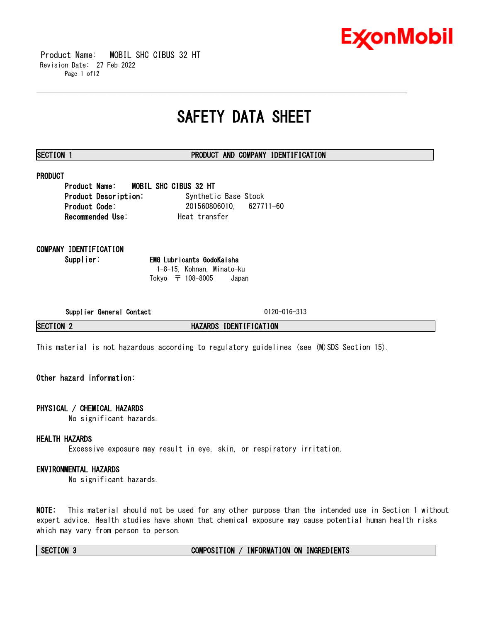

 Product Name: MOBIL SHC CIBUS 32 HT Revision Date: 27 Feb 2022 Page 1 of12

## **SAFETY DATA SHEET**

\_\_\_\_\_\_\_\_\_\_\_\_\_\_\_\_\_\_\_\_\_\_\_\_\_\_\_\_\_\_\_\_\_\_\_\_\_\_\_\_\_\_\_\_\_\_\_\_\_\_\_\_\_\_\_\_\_\_\_\_\_\_\_\_\_\_\_\_\_\_\_\_\_\_\_\_\_\_\_\_\_\_\_\_\_\_\_\_\_\_\_\_\_\_\_\_\_\_\_\_\_\_\_\_\_\_\_\_\_\_\_\_\_\_\_\_\_\_

### **SECTION 1 PRODUCT AND COMPANY IDENTIFICATION**

### **PRODUCT**

**Product Name: MOBIL SHC CIBUS 32 HT** Product Description: Synthetic Base Stock **Product Code:** 201560806010, 627711-60 **Recommended Use:** Heat transfer

**COMPANY IDENTIFICATION**

**Supplier: EMG Lubricants GodoKaisha** 1-8-15, Kohnan, Minato-ku Tokyo 〒 108-8005 Japan

**Supplier General Contact** 0120-016-313

**SECTION 2 HAZARDS IDENTIFICATION**

This material is not hazardous according to regulatory guidelines (see (M)SDS Section 15).

### **Other hazard information:**

### **PHYSICAL / CHEMICAL HAZARDS**

No significant hazards.

### **HEALTH HAZARDS**

Excessive exposure may result in eye, skin, or respiratory irritation.

### **ENVIRONMENTAL HAZARDS**

No significant hazards.

**NOTE:** This material should not be used for any other purpose than the intended use in Section 1 without expert advice. Health studies have shown that chemical exposure may cause potential human health risks which may vary from person to person.

### **SECTION 3 COMPOSITION / INFORMATION ON INGREDIENTS**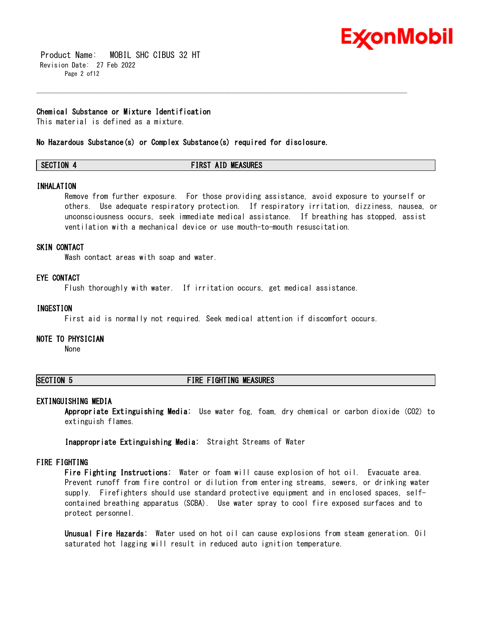

 Product Name: MOBIL SHC CIBUS 32 HT Revision Date: 27 Feb 2022 Page 2 of 12

#### **Chemical Substance or Mixture Identification**

This material is defined as a mixture.

**No Hazardous Substance(s) or Complex Substance(s) required for disclosure.** 

|  | <b>SECTION</b> | <b>FIRST AID MEASURES</b> |
|--|----------------|---------------------------|
|--|----------------|---------------------------|

\_\_\_\_\_\_\_\_\_\_\_\_\_\_\_\_\_\_\_\_\_\_\_\_\_\_\_\_\_\_\_\_\_\_\_\_\_\_\_\_\_\_\_\_\_\_\_\_\_\_\_\_\_\_\_\_\_\_\_\_\_\_\_\_\_\_\_\_\_\_\_\_\_\_\_\_\_\_\_\_\_\_\_\_\_\_\_\_\_\_\_\_\_\_\_\_\_\_\_\_\_\_\_\_\_\_\_\_\_\_\_\_\_\_\_\_\_\_

#### **INHALATION**

Remove from further exposure. For those providing assistance, avoid exposure to yourself or others. Use adequate respiratory protection. If respiratory irritation, dizziness, nausea, or unconsciousness occurs, seek immediate medical assistance. If breathing has stopped, assist ventilation with a mechanical device or use mouth-to-mouth resuscitation.

#### **SKIN CONTACT**

Wash contact areas with soap and water.

#### **EYE CONTACT**

Flush thoroughly with water. If irritation occurs, get medical assistance.

#### **INGESTION**

First aid is normally not required. Seek medical attention if discomfort occurs.

#### **NOTE TO PHYSICIAN**

None

#### **SECTION 5 FIRE FIGHTING MEASURES**

#### **EXTINGUISHING MEDIA**

**Appropriate Extinguishing Media:** Use water fog, foam, dry chemical or carbon dioxide (CO2) to extinguish flames.

**Inappropriate Extinguishing Media:** Straight Streams of Water

#### **FIRE FIGHTING**

**Fire Fighting Instructions:** Water or foam will cause explosion of hot oil. Evacuate area. Prevent runoff from fire control or dilution from entering streams, sewers, or drinking water supply. Firefighters should use standard protective equipment and in enclosed spaces, selfcontained breathing apparatus (SCBA). Use water spray to cool fire exposed surfaces and to protect personnel.

**Unusual Fire Hazards:** Water used on hot oil can cause explosions from steam generation. Oil saturated hot lagging will result in reduced auto ignition temperature.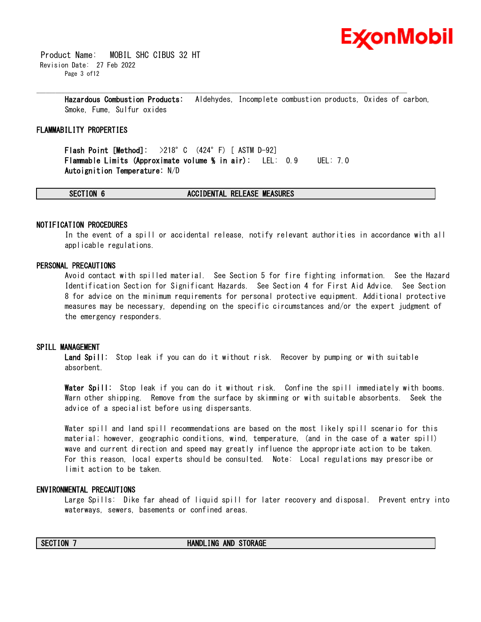

 Product Name: MOBIL SHC CIBUS 32 HT Revision Date: 27 Feb 2022 Page 3 of 12

> **Hazardous Combustion Products:** Aldehydes, Incomplete combustion products, Oxides of carbon, Smoke, Fume, Sulfur oxides

\_\_\_\_\_\_\_\_\_\_\_\_\_\_\_\_\_\_\_\_\_\_\_\_\_\_\_\_\_\_\_\_\_\_\_\_\_\_\_\_\_\_\_\_\_\_\_\_\_\_\_\_\_\_\_\_\_\_\_\_\_\_\_\_\_\_\_\_\_\_\_\_\_\_\_\_\_\_\_\_\_\_\_\_\_\_\_\_\_\_\_\_\_\_\_\_\_\_\_\_\_\_\_\_\_\_\_\_\_\_\_\_\_\_\_\_\_\_

### **FLAMMABILITY PROPERTIES**

**Flash Point [Method]:** >218°C (424°F) [ ASTM D-92] **Flammable Limits (Approximate volume % in air):** LEL: 0.9 UEL: 7.0 **Autoignition Temperature:** N/D

#### **SECTION 6 ACCIDENTAL RELEASE MEASURES**

### **NOTIFICATION PROCEDURES**

In the event of a spill or accidental release, notify relevant authorities in accordance with all applicable regulations.

#### **PERSONAL PRECAUTIONS**

Avoid contact with spilled material. See Section 5 for fire fighting information. See the Hazard Identification Section for Significant Hazards. See Section 4 for First Aid Advice. See Section 8 for advice on the minimum requirements for personal protective equipment. Additional protective measures may be necessary, depending on the specific circumstances and/or the expert judgment of the emergency responders.

#### **SPILL MANAGEMENT**

**Land Spill:** Stop leak if you can do it without risk. Recover by pumping or with suitable absorbent.

**Water Spill:** Stop leak if you can do it without risk. Confine the spill immediately with booms. Warn other shipping. Remove from the surface by skimming or with suitable absorbents. Seek the advice of a specialist before using dispersants.

Water spill and land spill recommendations are based on the most likely spill scenario for this material; however, geographic conditions, wind, temperature, (and in the case of a water spill) wave and current direction and speed may greatly influence the appropriate action to be taken. For this reason, local experts should be consulted. Note: Local regulations may prescribe or limit action to be taken.

#### **ENVIRONMENTAL PRECAUTIONS**

Large Spills: Dike far ahead of liquid spill for later recovery and disposal. Prevent entry into waterways, sewers, basements or confined areas.

#### **SECTION 7 HANDLING AND STORAGE**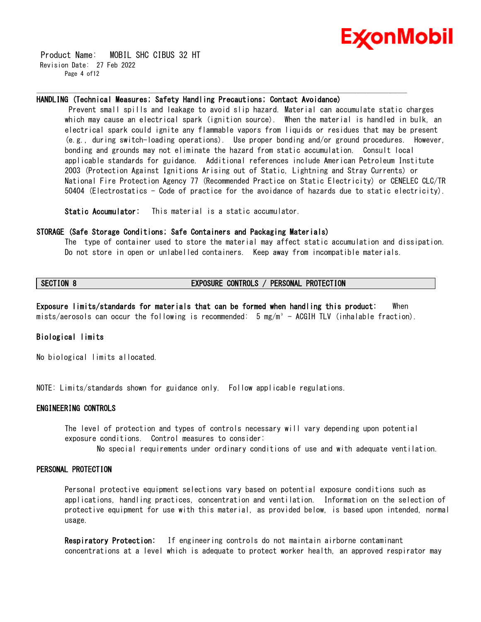

 Product Name: MOBIL SHC CIBUS 32 HT Revision Date: 27 Feb 2022 Page 4 of12

#### **HANDLING (Technical Measures; Safety Handling Precautions; Contact Avoidance)**

\_\_\_\_\_\_\_\_\_\_\_\_\_\_\_\_\_\_\_\_\_\_\_\_\_\_\_\_\_\_\_\_\_\_\_\_\_\_\_\_\_\_\_\_\_\_\_\_\_\_\_\_\_\_\_\_\_\_\_\_\_\_\_\_\_\_\_\_\_\_\_\_\_\_\_\_\_\_\_\_\_\_\_\_\_\_\_\_\_\_\_\_\_\_\_\_\_\_\_\_\_\_\_\_\_\_\_\_\_\_\_\_\_\_\_\_\_\_

Prevent small spills and leakage to avoid slip hazard. Material can accumulate static charges which may cause an electrical spark (ignition source). When the material is handled in bulk, an electrical spark could ignite any flammable vapors from liquids or residues that may be present (e.g., during switch-loading operations). Use proper bonding and/or ground procedures. However, bonding and grounds may not eliminate the hazard from static accumulation. Consult local applicable standards for guidance. Additional references include American Petroleum Institute 2003 (Protection Against Ignitions Arising out of Static, Lightning and Stray Currents) or National Fire Protection Agency 77 (Recommended Practice on Static Electricity) or CENELEC CLC/TR 50404 (Electrostatics - Code of practice for the avoidance of hazards due to static electricity).

**Static Accumulator:** This material is a static accumulator.

#### **STORAGE (Safe Storage Conditions; Safe Containers and Packaging Materials)**

The type of container used to store the material may affect static accumulation and dissipation. Do not store in open or unlabelled containers. Keep away from incompatible materials.

### **SECTION 8 EXPOSURE CONTROLS / PERSONAL PROTECTION**

**Exposure limits/standards for materials that can be formed when handling this product:** When mists/aerosols can occur the following is recommended: 5 mg/m<sup>3</sup> - ACGIH TLV (inhalable fraction).

### **Biological limits**

No biological limits allocated.

NOTE: Limits/standards shown for guidance only. Follow applicable regulations.

#### **ENGINEERING CONTROLS**

The level of protection and types of controls necessary will vary depending upon potential exposure conditions. Control measures to consider:

No special requirements under ordinary conditions of use and with adequate ventilation.

#### **PERSONAL PROTECTION**

Personal protective equipment selections vary based on potential exposure conditions such as applications, handling practices, concentration and ventilation. Information on the selection of protective equipment for use with this material, as provided below, is based upon intended, normal usage.

**Respiratory Protection:** If engineering controls do not maintain airborne contaminant concentrations at a level which is adequate to protect worker health, an approved respirator may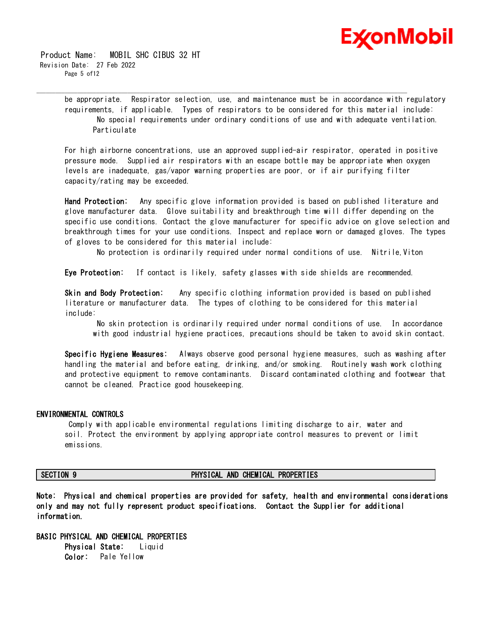

 Product Name: MOBIL SHC CIBUS 32 HT Revision Date: 27 Feb 2022 Page 5 of 12

> be appropriate. Respirator selection, use, and maintenance must be in accordance with regulatory requirements, if applicable. Types of respirators to be considered for this material include: No special requirements under ordinary conditions of use and with adequate ventilation. Particulate

\_\_\_\_\_\_\_\_\_\_\_\_\_\_\_\_\_\_\_\_\_\_\_\_\_\_\_\_\_\_\_\_\_\_\_\_\_\_\_\_\_\_\_\_\_\_\_\_\_\_\_\_\_\_\_\_\_\_\_\_\_\_\_\_\_\_\_\_\_\_\_\_\_\_\_\_\_\_\_\_\_\_\_\_\_\_\_\_\_\_\_\_\_\_\_\_\_\_\_\_\_\_\_\_\_\_\_\_\_\_\_\_\_\_\_\_\_\_

For high airborne concentrations, use an approved supplied-air respirator, operated in positive pressure mode. Supplied air respirators with an escape bottle may be appropriate when oxygen levels are inadequate, gas/vapor warning properties are poor, or if air purifying filter capacity/rating may be exceeded.

**Hand Protection:** Any specific glove information provided is based on published literature and glove manufacturer data. Glove suitability and breakthrough time will differ depending on the specific use conditions. Contact the glove manufacturer for specific advice on glove selection and breakthrough times for your use conditions. Inspect and replace worn or damaged gloves. The types of gloves to be considered for this material include:

No protection is ordinarily required under normal conditions of use. Nitrile,Viton

**Eye Protection:** If contact is likely, safety glasses with side shields are recommended.

**Skin and Body Protection:** Any specific clothing information provided is based on published literature or manufacturer data. The types of clothing to be considered for this material include:

No skin protection is ordinarily required under normal conditions of use. In accordance with good industrial hygiene practices, precautions should be taken to avoid skin contact.

**Specific Hygiene Measures:** Always observe good personal hygiene measures, such as washing after handling the material and before eating, drinking, and/or smoking. Routinely wash work clothing and protective equipment to remove contaminants. Discard contaminated clothing and footwear that cannot be cleaned. Practice good housekeeping.

#### **ENVIRONMENTAL CONTROLS**

Comply with applicable environmental regulations limiting discharge to air, water and soil. Protect the environment by applying appropriate control measures to prevent or limit emissions.

#### **SECTION 9 PHYSICAL AND CHEMICAL PROPERTIES**

**Note: Physical and chemical properties are provided for safety, health and environmental considerations only and may not fully represent product specifications. Contact the Supplier for additional information.**

**BASIC PHYSICAL AND CHEMICAL PROPERTIES Physical State:** Liquid **Color:** Pale Yellow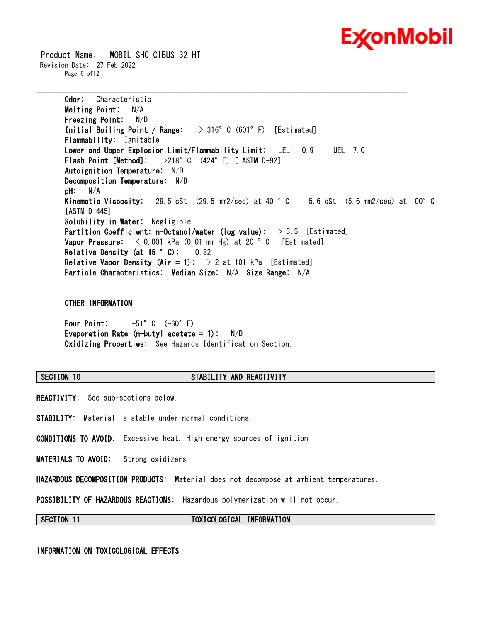

 Product Name: MOBIL SHC CIBUS 32 HT Revision Date: 27 Feb 2022 Page 6 of12

> **Odor:** Characteristic **Melting Point:** N/A **Freezing Point:** N/D **Initial Boiling Point / Range:** > 316°C (601°F) [Estimated] **Flammability:** Ignitable **Lower and Upper Explosion Limit/Flammability Limit:** LEL: 0.9 UEL: 7.0 **Flash Point [Method]:** >218°C (424°F) [ ASTM D-92] **Autoignition Temperature:** N/D **Decomposition Temperature:** N/D **pH:** N/A **Kinematic Viscosity:** 29.5 cSt (29.5 mm2/sec) at 40 °C | 5.6 cSt (5.6 mm2/sec) at 100°C [ASTM D 445] **Solubility in Water:** Negligible **Partition Coefficient: n-Octanol/water (log value):** > 3.5 [Estimated] **Vapor Pressure:** < 0.001 kPa (0.01 mm Hg) at 20 °C [Estimated] **Relative Density (at 15 °C):** 0.82 **Relative Vapor Density (Air = 1):** > 2 at 101 kPa [Estimated] **Particle Characteristics: Median Size:** N/A **Size Range:** N/A

\_\_\_\_\_\_\_\_\_\_\_\_\_\_\_\_\_\_\_\_\_\_\_\_\_\_\_\_\_\_\_\_\_\_\_\_\_\_\_\_\_\_\_\_\_\_\_\_\_\_\_\_\_\_\_\_\_\_\_\_\_\_\_\_\_\_\_\_\_\_\_\_\_\_\_\_\_\_\_\_\_\_\_\_\_\_\_\_\_\_\_\_\_\_\_\_\_\_\_\_\_\_\_\_\_\_\_\_\_\_\_\_\_\_\_\_\_\_

**OTHER INFORMATION**

**Pour Point:** -51°C (-60°F) **Evaporation Rate (n-butyl acetate = 1):** N/D **Oxidizing Properties:** See Hazards Identification Section.

### **SECTION 10 STABILITY AND REACTIVITY**

**REACTIVITY:** See sub-sections below.

**STABILITY:** Material is stable under normal conditions.

**CONDITIONS TO AVOID:** Excessive heat. High energy sources of ignition.

**MATERIALS TO AVOID:** Strong oxidizers

**HAZARDOUS DECOMPOSITION PRODUCTS:** Material does not decompose at ambient temperatures.

**POSSIBILITY OF HAZARDOUS REACTIONS:** Hazardous polymerization will not occur.

**SECTION 11 TOXICOLOGICAL INFORMATION**

**INFORMATION ON TOXICOLOGICAL EFFECTS**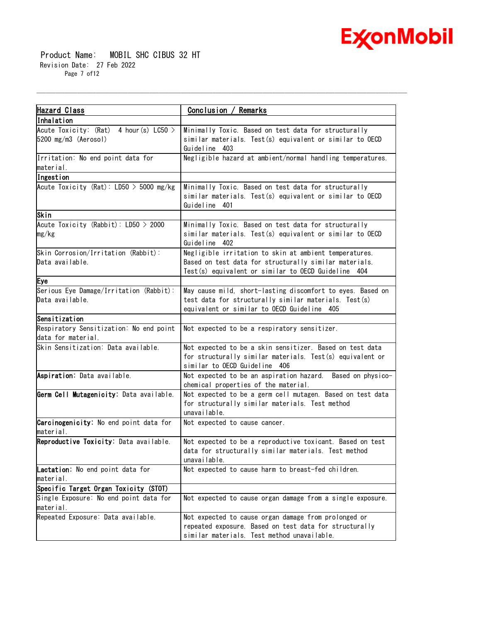

 Product Name: MOBIL SHC CIBUS 32 HT Revision Date: 27 Feb 2022 Page 7 of12

| Hazard Class                                                                | Conclusion / Remarks                                                                                                                                                       |  |  |
|-----------------------------------------------------------------------------|----------------------------------------------------------------------------------------------------------------------------------------------------------------------------|--|--|
| Inhalation                                                                  |                                                                                                                                                                            |  |  |
| Acute Toxicity: $(Rat)$ 4 hour (s) LC50 ><br>$5200 \text{ mg/m}3$ (Aerosol) | Minimally Toxic. Based on test data for structurally<br>similar materials. Test(s) equivalent or similar to OECD<br>Guideline 403                                          |  |  |
| Irritation: No end point data for<br>material.                              | Negligible hazard at ambient/normal handling temperatures.                                                                                                                 |  |  |
| Ingestion                                                                   |                                                                                                                                                                            |  |  |
| Acute Toxicity (Rat): $LD50 > 5000$ mg/kg                                   | Minimally Toxic. Based on test data for structurally<br>similar materials. Test(s) equivalent or similar to OECD<br>Guideline<br>401                                       |  |  |
| Skin                                                                        |                                                                                                                                                                            |  |  |
| Acute Toxicity (Rabbit): $LD50 > 2000$<br>mg/kg                             | Minimally Toxic. Based on test data for structurally<br>similar materials. Test(s) equivalent or similar to OECD<br>Guideline 402                                          |  |  |
| Skin Corrosion/Irritation (Rabbit):<br>Data available.                      | Negligible irritation to skin at ambient temperatures.<br>Based on test data for structurally similar materials.<br>Test(s) equivalent or similar to OECD Guideline<br>404 |  |  |
| Eye                                                                         |                                                                                                                                                                            |  |  |
| Serious Eye Damage/Irritation (Rabbit):<br>Data available.                  | May cause mild, short-lasting discomfort to eyes. Based on<br>test data for structurally similar materials. Test(s)<br>equivalent or similar to OECD Guideline 405         |  |  |
| Sensitization                                                               |                                                                                                                                                                            |  |  |
| Respiratory Sensitization: No end point<br>data for material.               | Not expected to be a respiratory sensitizer.                                                                                                                               |  |  |
| Skin Sensitization: Data available.                                         | Not expected to be a skin sensitizer. Based on test data<br>for structurally similar materials. Test(s) equivalent or<br>similar to OECD Guideline 406                     |  |  |
| Aspiration: Data available.                                                 | Not expected to be an aspiration hazard. Based on physico-<br>chemical properties of the material.                                                                         |  |  |
| Germ Cell Mutagenicity: Data available.                                     | Not expected to be a germ cell mutagen. Based on test data<br>for structurally similar materials. Test method<br>unavailable.                                              |  |  |
| Carcinogenicity: No end point data for<br>material.                         | Not expected to cause cancer.                                                                                                                                              |  |  |
| Reproductive Toxicity: Data available.                                      | Not expected to be a reproductive toxicant. Based on test<br>data for structurally similar materials. Test method<br>unavailable.                                          |  |  |
| Lactation: No end point data for<br>material.                               | Not expected to cause harm to breast-fed children.                                                                                                                         |  |  |
| Specific Target Organ Toxicity (STOT)                                       |                                                                                                                                                                            |  |  |
| Single Exposure: No end point data for<br>material.                         | Not expected to cause organ damage from a single exposure.                                                                                                                 |  |  |
| Repeated Exposure: Data available.                                          | Not expected to cause organ damage from prolonged or<br>repeated exposure. Based on test data for structurally<br>similar materials. Test method unavailable.              |  |  |

\_\_\_\_\_\_\_\_\_\_\_\_\_\_\_\_\_\_\_\_\_\_\_\_\_\_\_\_\_\_\_\_\_\_\_\_\_\_\_\_\_\_\_\_\_\_\_\_\_\_\_\_\_\_\_\_\_\_\_\_\_\_\_\_\_\_\_\_\_\_\_\_\_\_\_\_\_\_\_\_\_\_\_\_\_\_\_\_\_\_\_\_\_\_\_\_\_\_\_\_\_\_\_\_\_\_\_\_\_\_\_\_\_\_\_\_\_\_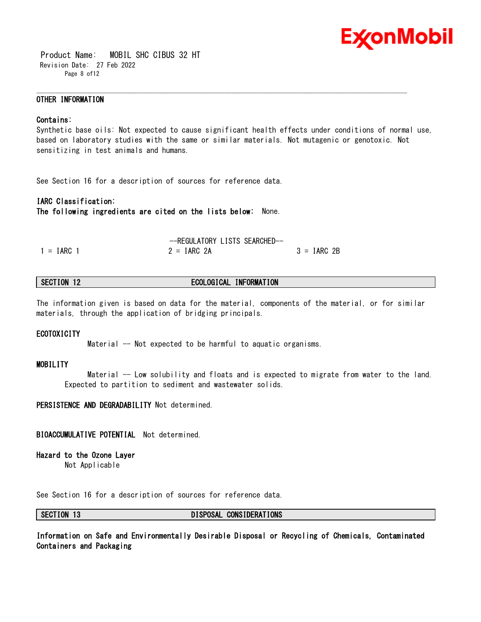

 Product Name: MOBIL SHC CIBUS 32 HT Revision Date: 27 Feb 2022 Page 8 of12

#### **OTHER INFORMATION**

#### **Contains:**

Synthetic base oils: Not expected to cause significant health effects under conditions of normal use, based on laboratory studies with the same or similar materials. Not mutagenic or genotoxic. Not sensitizing in test animals and humans.

\_\_\_\_\_\_\_\_\_\_\_\_\_\_\_\_\_\_\_\_\_\_\_\_\_\_\_\_\_\_\_\_\_\_\_\_\_\_\_\_\_\_\_\_\_\_\_\_\_\_\_\_\_\_\_\_\_\_\_\_\_\_\_\_\_\_\_\_\_\_\_\_\_\_\_\_\_\_\_\_\_\_\_\_\_\_\_\_\_\_\_\_\_\_\_\_\_\_\_\_\_\_\_\_\_\_\_\_\_\_\_\_\_\_\_\_\_\_

See Section 16 for a description of sources for reference data.

### **IARC Classification:**

**The following ingredients are cited on the lists below:** None.

|              | -REGULATORY LISTS SEARCHED- |               |
|--------------|-----------------------------|---------------|
| $1 = IARC 1$ | $2 = IARC 2A$               | $3 = IARC 2B$ |

### **SECTION 12 ECOLOGICAL INFORMATION**

The information given is based on data for the material, components of the material, or for similar materials, through the application of bridging principals.

#### **ECOTOXICITY**

Material -- Not expected to be harmful to aquatic organisms.

#### **MOBILITY**

Material -- Low solubility and floats and is expected to migrate from water to the land. Expected to partition to sediment and wastewater solids.

**PERSISTENCE AND DEGRADABILITY** Not determined.

#### **BIOACCUMULATIVE POTENTIAL** Not determined.

#### **Hazard to the Ozone Layer**

Not Applicable

See Section 16 for a description of sources for reference data.

#### **SECTION 13 DISPOSAL CONSIDERATIONS**

**Information on Safe and Environmentally Desirable Disposal or Recycling of Chemicals, Contaminated Containers and Packaging**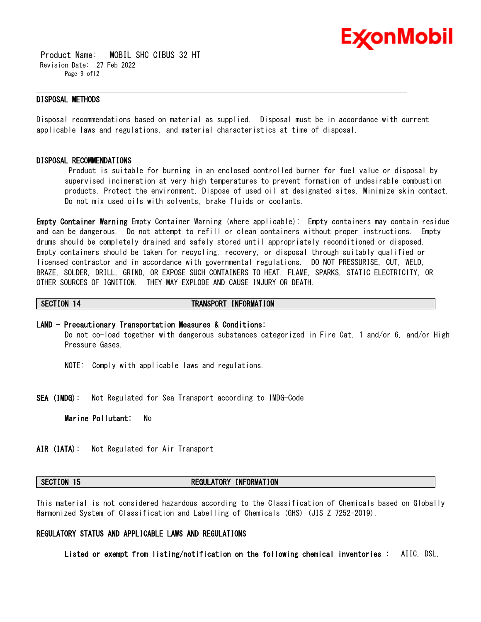

 Product Name: MOBIL SHC CIBUS 32 HT Revision Date: 27 Feb 2022 Page 9 of12

#### **DISPOSAL METHODS**

Disposal recommendations based on material as supplied. Disposal must be in accordance with current applicable laws and regulations, and material characteristics at time of disposal.

\_\_\_\_\_\_\_\_\_\_\_\_\_\_\_\_\_\_\_\_\_\_\_\_\_\_\_\_\_\_\_\_\_\_\_\_\_\_\_\_\_\_\_\_\_\_\_\_\_\_\_\_\_\_\_\_\_\_\_\_\_\_\_\_\_\_\_\_\_\_\_\_\_\_\_\_\_\_\_\_\_\_\_\_\_\_\_\_\_\_\_\_\_\_\_\_\_\_\_\_\_\_\_\_\_\_\_\_\_\_\_\_\_\_\_\_\_\_

#### **DISPOSAL RECOMMENDATIONS**

Product is suitable for burning in an enclosed controlled burner for fuel value or disposal by supervised incineration at very high temperatures to prevent formation of undesirable combustion products. Protect the environment. Dispose of used oil at designated sites. Minimize skin contact. Do not mix used oils with solvents, brake fluids or coolants.

**Empty Container Warning** Empty Container Warning (where applicable): Empty containers may contain residue and can be dangerous. Do not attempt to refill or clean containers without proper instructions. Empty drums should be completely drained and safely stored until appropriately reconditioned or disposed. Empty containers should be taken for recycling, recovery, or disposal through suitably qualified or licensed contractor and in accordance with governmental regulations. DO NOT PRESSURISE, CUT, WELD, BRAZE, SOLDER, DRILL, GRIND, OR EXPOSE SUCH CONTAINERS TO HEAT, FLAME, SPARKS, STATIC ELECTRICITY, OR OTHER SOURCES OF IGNITION. THEY MAY EXPLODE AND CAUSE INJURY OR DEATH.

#### **SECTION 14 TRANSPORT INFORMATION**

#### **LAND - Precautionary Transportation Measures & Conditions:**

Do not co-load together with dangerous substances categorized in Fire Cat. 1 and/or 6, and/or High Pressure Gases.

- NOTE: Comply with applicable laws and regulations.
- **SEA (IMDG):** Not Regulated for Sea Transport according to IMDG-Code

**Marine Pollutant:** No

**AIR (IATA):** Not Regulated for Air Transport

#### **SECTION 15 REGULATORY INFORMATION**

This material is not considered hazardous according to the Classification of Chemicals based on Globally Harmonized System of Classification and Labelling of Chemicals (GHS) (JIS Z 7252–2019).

### **REGULATORY STATUS AND APPLICABLE LAWS AND REGULATIONS**

**Listed or exempt from listing/notification on the following chemical inventories :** AIIC, DSL,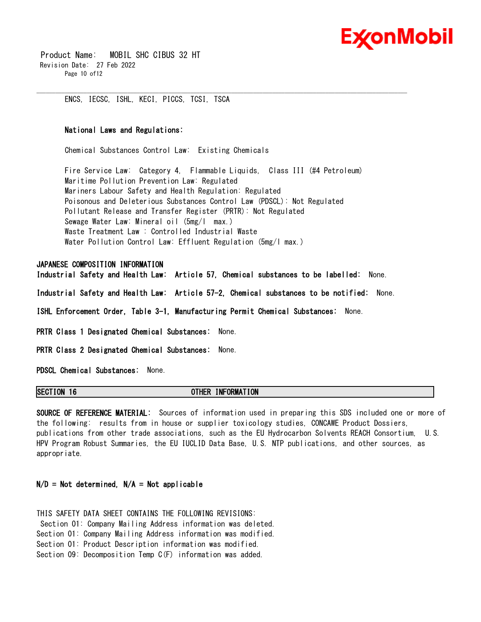

 Product Name: MOBIL SHC CIBUS 32 HT Revision Date: 27 Feb 2022 Page 10 of12

ENCS, IECSC, ISHL, KECI, PICCS, TCSI, TSCA

#### **National Laws and Regulations:**

Chemical Substances Control Law: Existing Chemicals

Fire Service Law: Category 4, Flammable Liquids, Class III (#4 Petroleum) Maritime Pollution Prevention Law: Regulated Mariners Labour Safety and Health Regulation: Regulated Poisonous and Deleterious Substances Control Law (PDSCL): Not Regulated Pollutant Release and Transfer Register (PRTR): Not Regulated Sewage Water Law: Mineral oil (5mg/l max.) Waste Treatment Law : Controlled Industrial Waste Water Pollution Control Law: Effluent Regulation (5mg/l max.)

\_\_\_\_\_\_\_\_\_\_\_\_\_\_\_\_\_\_\_\_\_\_\_\_\_\_\_\_\_\_\_\_\_\_\_\_\_\_\_\_\_\_\_\_\_\_\_\_\_\_\_\_\_\_\_\_\_\_\_\_\_\_\_\_\_\_\_\_\_\_\_\_\_\_\_\_\_\_\_\_\_\_\_\_\_\_\_\_\_\_\_\_\_\_\_\_\_\_\_\_\_\_\_\_\_\_\_\_\_\_\_\_\_\_\_\_\_\_

#### **JAPANESE COMPOSITION INFORMATION**

**Industrial Safety and Health Law: Article 57, Chemical substances to be labelled:** None.

**Industrial Safety and Health Law: Article 57-2, Chemical substances to be notified:** None.

**ISHL Enforcement Order, Table 3-1, Manufacturing Permit Chemical Substances:** None.

**PRTR Class 1 Designated Chemical Substances:** None.

**PRTR Class 2 Designated Chemical Substances:** None.

**PDSCL Chemical Substances:** None.

#### **SECTION 16 OTHER INFORMATION**

**SOURCE OF REFERENCE MATERIAL:** Sources of information used in preparing this SDS included one or more of the following: results from in house or supplier toxicology studies, CONCAWE Product Dossiers, publications from other trade associations, such as the EU Hydrocarbon Solvents REACH Consortium, U.S. HPV Program Robust Summaries, the EU IUCLID Data Base, U.S. NTP publications, and other sources, as appropriate.

### **N/D = Not determined, N/A = Not applicable**

THIS SAFETY DATA SHEET CONTAINS THE FOLLOWING REVISIONS: Section 01: Company Mailing Address information was deleted. Section 01: Company Mailing Address information was modified. Section 01: Product Description information was modified. Section 09: Decomposition Temp C(F) information was added.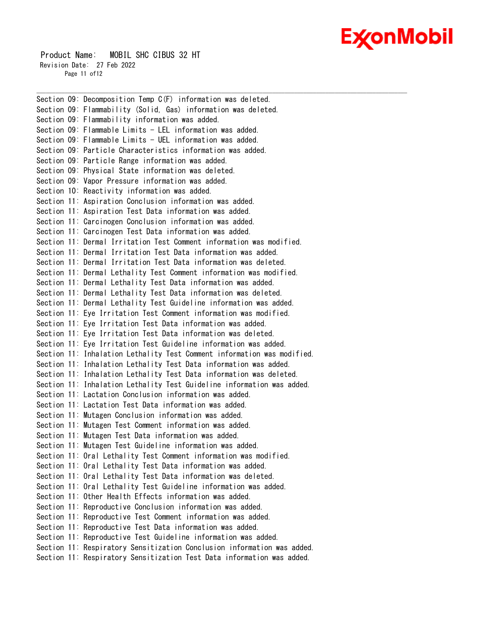## Ex⁄onMobil

 Product Name: MOBIL SHC CIBUS 32 HT Revision Date: 27 Feb 2022 Page 11 of 12

Section 09: Decomposition Temp C(F) information was deleted. Section 09: Flammability (Solid, Gas) information was deleted. Section 09: Flammability information was added. Section 09: Flammable Limits - LEL information was added. Section 09: Flammable Limits - UEL information was added. Section 09: Particle Characteristics information was added. Section 09: Particle Range information was added. Section 09: Physical State information was deleted. Section 09: Vapor Pressure information was added. Section 10: Reactivity information was added. Section 11: Aspiration Conclusion information was added. Section 11: Aspiration Test Data information was added. Section 11: Carcinogen Conclusion information was added. Section 11: Carcinogen Test Data information was added. Section 11: Dermal Irritation Test Comment information was modified. Section 11: Dermal Irritation Test Data information was added. Section 11: Dermal Irritation Test Data information was deleted. Section 11: Dermal Lethality Test Comment information was modified. Section 11: Dermal Lethality Test Data information was added. Section 11: Dermal Lethality Test Data information was deleted. Section 11: Dermal Lethality Test Guideline information was added. Section 11: Eye Irritation Test Comment information was modified. Section 11: Eye Irritation Test Data information was added. Section 11: Eye Irritation Test Data information was deleted. Section 11: Eye Irritation Test Guideline information was added. Section 11: Inhalation Lethality Test Comment information was modified. Section 11: Inhalation Lethality Test Data information was added. Section 11: Inhalation Lethality Test Data information was deleted. Section 11: Inhalation Lethality Test Guideline information was added. Section 11: Lactation Conclusion information was added. Section 11: Lactation Test Data information was added. Section 11: Mutagen Conclusion information was added. Section 11: Mutagen Test Comment information was added. Section 11: Mutagen Test Data information was added. Section 11: Mutagen Test Guideline information was added. Section 11: Oral Lethality Test Comment information was modified. Section 11: Oral Lethality Test Data information was added. Section 11: Oral Lethality Test Data information was deleted. Section 11: Oral Lethality Test Guideline information was added. Section 11: Other Health Effects information was added. Section 11: Reproductive Conclusion information was added. Section 11: Reproductive Test Comment information was added. Section 11: Reproductive Test Data information was added. Section 11: Reproductive Test Guideline information was added. Section 11: Respiratory Sensitization Conclusion information was added. Section 11: Respiratory Sensitization Test Data information was added.

\_\_\_\_\_\_\_\_\_\_\_\_\_\_\_\_\_\_\_\_\_\_\_\_\_\_\_\_\_\_\_\_\_\_\_\_\_\_\_\_\_\_\_\_\_\_\_\_\_\_\_\_\_\_\_\_\_\_\_\_\_\_\_\_\_\_\_\_\_\_\_\_\_\_\_\_\_\_\_\_\_\_\_\_\_\_\_\_\_\_\_\_\_\_\_\_\_\_\_\_\_\_\_\_\_\_\_\_\_\_\_\_\_\_\_\_\_\_